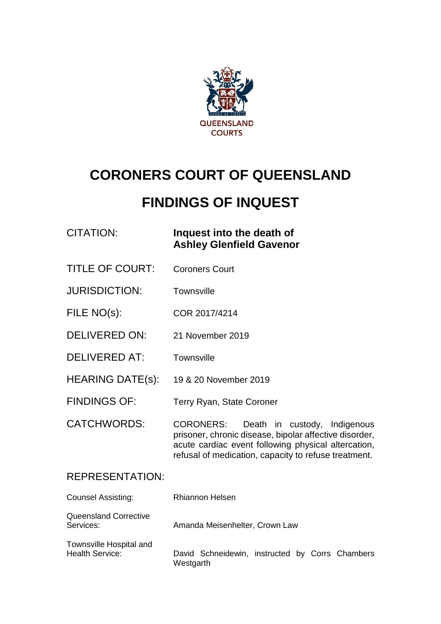

# **CORONERS COURT OF QUEENSLAND**

# **FINDINGS OF INQUEST**

### CITATION: **Inquest into the death of Ashley Glenfield Gavenor**

- TITLE OF COURT: Coroners Court
- JURISDICTION: Townsville
- FILE NO(s): COR 2017/4214
- DELIVERED ON: 21 November 2019
- DELIVERED AT: Townsville
- HEARING DATE(s): 19 & 20 November 2019
- FINDINGS OF: Terry Ryan, State Coroner
- CATCHWORDS: CORONERS: Death in custody, Indigenous prisoner, chronic disease, bipolar affective disorder, acute cardiac event following physical altercation, refusal of medication, capacity to refuse treatment.

#### REPRESENTATION:

| <b>Counsel Assisting:</b>                         | Rhiannon Helsen                                              |
|---------------------------------------------------|--------------------------------------------------------------|
| <b>Queensland Corrective</b><br>Services:         | Amanda Meisenhelter, Crown Law                               |
| Townsville Hospital and<br><b>Health Service:</b> | David Schneidewin, instructed by Corrs Chambers<br>Westgarth |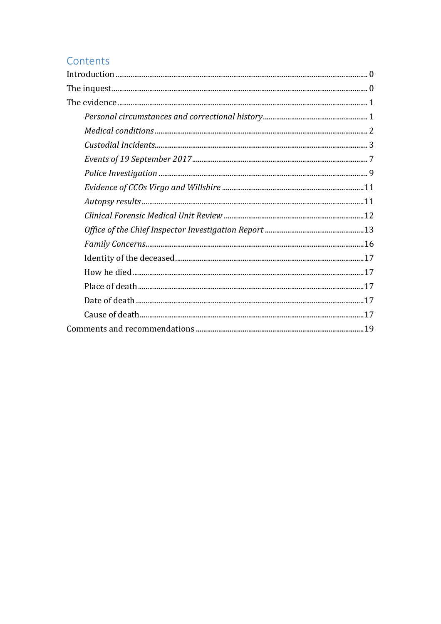## Contents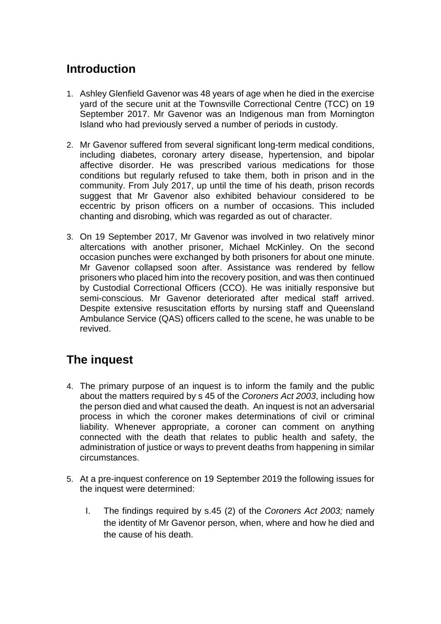# <span id="page-2-0"></span>**Introduction**

- 1. Ashley Glenfield Gavenor was 48 years of age when he died in the exercise yard of the secure unit at the Townsville Correctional Centre (TCC) on 19 September 2017. Mr Gavenor was an Indigenous man from Mornington Island who had previously served a number of periods in custody.
- 2. Mr Gavenor suffered from several significant long-term medical conditions, including diabetes, coronary artery disease, hypertension, and bipolar affective disorder. He was prescribed various medications for those conditions but regularly refused to take them, both in prison and in the community. From July 2017, up until the time of his death, prison records suggest that Mr Gavenor also exhibited behaviour considered to be eccentric by prison officers on a number of occasions. This included chanting and disrobing, which was regarded as out of character.
- 3. On 19 September 2017, Mr Gavenor was involved in two relatively minor altercations with another prisoner, Michael McKinley. On the second occasion punches were exchanged by both prisoners for about one minute. Mr Gavenor collapsed soon after. Assistance was rendered by fellow prisoners who placed him into the recovery position, and was then continued by Custodial Correctional Officers (CCO). He was initially responsive but semi-conscious. Mr Gavenor deteriorated after medical staff arrived. Despite extensive resuscitation efforts by nursing staff and Queensland Ambulance Service (QAS) officers called to the scene, he was unable to be revived.

# <span id="page-2-1"></span>**The inquest**

- 4. The primary purpose of an inquest is to inform the family and the public about the matters required by s 45 of the *Coroners Act 2003*, including how the person died and what caused the death. An inquest is not an adversarial process in which the coroner makes determinations of civil or criminal liability. Whenever appropriate, a coroner can comment on anything connected with the death that relates to public health and safety, the administration of justice or ways to prevent deaths from happening in similar circumstances.
- 5. At a pre-inquest conference on 19 September 2019 the following issues for the inquest were determined:
	- I. The findings required by s.45 (2) of the *Coroners Act 2003;* namely the identity of Mr Gavenor person, when, where and how he died and the cause of his death.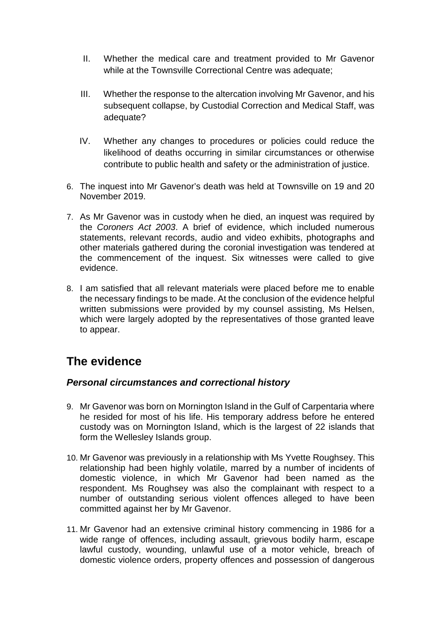- II. Whether the medical care and treatment provided to Mr Gavenor while at the Townsville Correctional Centre was adequate;
- III. Whether the response to the altercation involving Mr Gavenor, and his subsequent collapse, by Custodial Correction and Medical Staff, was adequate?
- IV. Whether any changes to procedures or policies could reduce the likelihood of deaths occurring in similar circumstances or otherwise contribute to public health and safety or the administration of justice.
- 6. The inquest into Mr Gavenor's death was held at Townsville on 19 and 20 November 2019.
- 7. As Mr Gavenor was in custody when he died, an inquest was required by the *Coroners Act 2003*. A brief of evidence, which included numerous statements, relevant records, audio and video exhibits, photographs and other materials gathered during the coronial investigation was tendered at the commencement of the inquest. Six witnesses were called to give evidence.
- 8. I am satisfied that all relevant materials were placed before me to enable the necessary findings to be made. At the conclusion of the evidence helpful written submissions were provided by my counsel assisting, Ms Helsen, which were largely adopted by the representatives of those granted leave to appear.

# <span id="page-3-0"></span>**The evidence**

#### <span id="page-3-1"></span>*Personal circumstances and correctional history*

- 9. Mr Gavenor was born on Mornington Island in the Gulf of Carpentaria where he resided for most of his life. His temporary address before he entered custody was on Mornington Island, which is the largest of 22 islands that form the Wellesley Islands group.
- 10. Mr Gavenor was previously in a relationship with Ms Yvette Roughsey. This relationship had been highly volatile, marred by a number of incidents of domestic violence, in which Mr Gavenor had been named as the respondent. Ms Roughsey was also the complainant with respect to a number of outstanding serious violent offences alleged to have been committed against her by Mr Gavenor.
- 11. Mr Gavenor had an extensive criminal history commencing in 1986 for a wide range of offences, including assault, grievous bodily harm, escape lawful custody, wounding, unlawful use of a motor vehicle, breach of domestic violence orders, property offences and possession of dangerous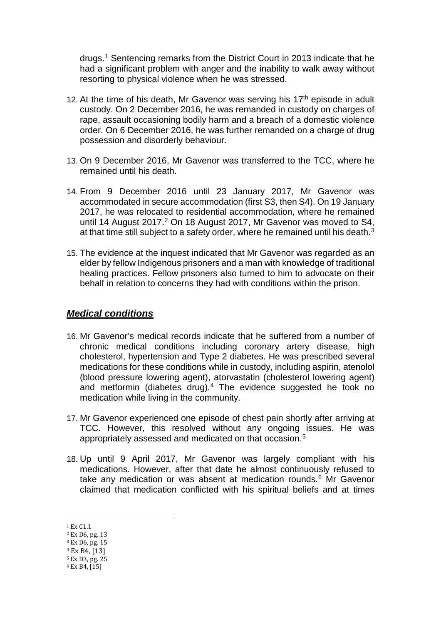drugs.[1](#page-4-1) Sentencing remarks from the District Court in 2013 indicate that he had a significant problem with anger and the inability to walk away without resorting to physical violence when he was stressed.

- 12. At the time of his death, Mr Gavenor was serving his  $17<sup>th</sup>$  episode in adult custody. On 2 December 2016, he was remanded in custody on charges of rape, assault occasioning bodily harm and a breach of a domestic violence order. On 6 December 2016, he was further remanded on a charge of drug possession and disorderly behaviour.
- 13. On 9 December 2016, Mr Gavenor was transferred to the TCC, where he remained until his death.
- 14. From 9 December 2016 until 23 January 2017, Mr Gavenor was accommodated in secure accommodation (first S3, then S4). On 19 January 2017, he was relocated to residential accommodation, where he remained until 14 August [2](#page-4-2)017.<sup>2</sup> On 18 August 2017, Mr Gavenor was moved to S4, at that time still subject to a safety order, where he remained until his death.[3](#page-4-3)
- 15. The evidence at the inquest indicated that Mr Gavenor was regarded as an elder by fellow Indigenous prisoners and a man with knowledge of traditional healing practices. Fellow prisoners also turned to him to advocate on their behalf in relation to concerns they had with conditions within the prison.

#### <span id="page-4-0"></span>*Medical conditions*

- 16. Mr Gavenor's medical records indicate that he suffered from a number of chronic medical conditions including coronary artery disease, high cholesterol, hypertension and Type 2 diabetes. He was prescribed several medications for these conditions while in custody, including aspirin, atenolol (blood pressure lowering agent), atorvastatin (cholesterol lowering agent) and metformin (diabetes drug).[4](#page-4-4) The evidence suggested he took no medication while living in the community.
- 17. Mr Gavenor experienced one episode of chest pain shortly after arriving at TCC. However, this resolved without any ongoing issues. He was appropriately assessed and medicated on that occasion.[5](#page-4-5)
- 18. Up until 9 April 2017, Mr Gavenor was largely compliant with his medications. However, after that date he almost continuously refused to take any medication or was absent at medication rounds.<sup>6</sup> Mr Gavenor claimed that medication conflicted with his spiritual beliefs and at times

<sup>1</sup> Ex C1.1  $\overline{\phantom{a}}$ 

<span id="page-4-1"></span><sup>2</sup> Ex D6, pg. 13

<span id="page-4-4"></span><span id="page-4-3"></span><span id="page-4-2"></span><sup>3</sup> Ex D6, pg. 15

<sup>4</sup> Ex B4, [13]

<span id="page-4-5"></span><sup>5</sup> Ex D3, pg. 25

<span id="page-4-6"></span><sup>6</sup> Ex B4, [15]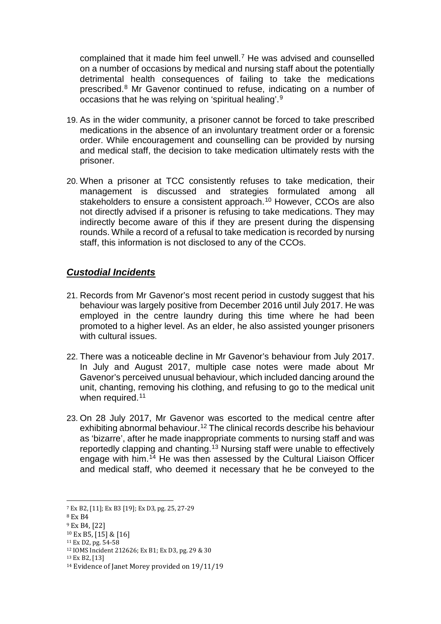complained that it made him feel unwell.[7](#page-5-1) He was advised and counselled on a number of occasions by medical and nursing staff about the potentially detrimental health consequences of failing to take the medications prescribed.[8](#page-5-2) Mr Gavenor continued to refuse, indicating on a number of occasions that he was relying on 'spiritual healing'.[9](#page-5-3) 

- 19. As in the wider community, a prisoner cannot be forced to take prescribed medications in the absence of an involuntary treatment order or a forensic order. While encouragement and counselling can be provided by nursing and medical staff, the decision to take medication ultimately rests with the prisoner.
- 20. When a prisoner at TCC consistently refuses to take medication, their management is discussed and strategies formulated among all stakeholders to ensure a consistent approach.<sup>[10](#page-5-4)</sup> However, CCOs are also not directly advised if a prisoner is refusing to take medications. They may indirectly become aware of this if they are present during the dispensing rounds. While a record of a refusal to take medication is recorded by nursing staff, this information is not disclosed to any of the CCOs.

#### <span id="page-5-0"></span>*Custodial Incidents*

- 21. Records from Mr Gavenor's most recent period in custody suggest that his behaviour was largely positive from December 2016 until July 2017. He was employed in the centre laundry during this time where he had been promoted to a higher level. As an elder, he also assisted younger prisoners with cultural issues.
- 22. There was a noticeable decline in Mr Gavenor's behaviour from July 2017. In July and August 2017, multiple case notes were made about Mr Gavenor's perceived unusual behaviour, which included dancing around the unit, chanting, removing his clothing, and refusing to go to the medical unit when required.<sup>[11](#page-5-5)</sup>
- 23. On 28 July 2017, Mr Gavenor was escorted to the medical centre after exhibiting abnormal behaviour.<sup>[12](#page-5-6)</sup> The clinical records describe his behaviour as 'bizarre', after he made inappropriate comments to nursing staff and was reportedly clapping and chanting.<sup>[13](#page-5-7)</sup> Nursing staff were unable to effectively engage with him.[14](#page-5-8) He was then assessed by the Cultural Liaison Officer and medical staff, who deemed it necessary that he be conveyed to the

<sup>7</sup> Ex B2, [11]; Ex B3 [19]; Ex D3, pg. 25, 27-29 l

<span id="page-5-2"></span><span id="page-5-1"></span><sup>8</sup> Ex B4

<span id="page-5-3"></span><sup>9</sup> Ex B4, [22]

<span id="page-5-4"></span><sup>10</sup> Ex B5, [15] & [16]

<span id="page-5-5"></span><sup>11</sup> Ex D2, pg. 54-58

<span id="page-5-6"></span><sup>12</sup> IOMS Incident 212626; Ex B1; Ex D3, pg. 29 & 30

<span id="page-5-7"></span><sup>13</sup> Ex B2, [13]

<span id="page-5-8"></span><sup>14</sup> Evidence of Janet Morey provided on 19/11/19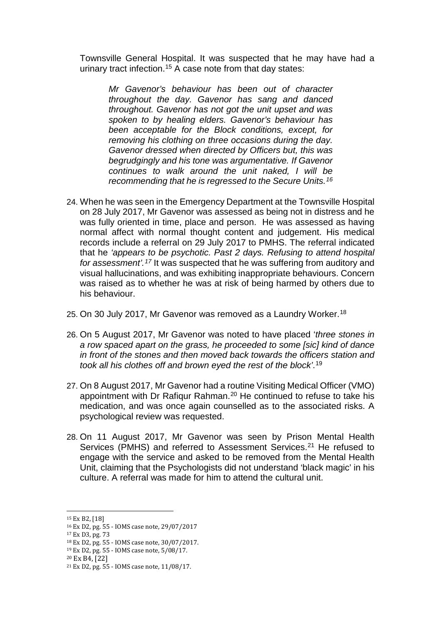Townsville General Hospital. It was suspected that he may have had a urinary tract infection.<sup>[15](#page-6-0)</sup> A case note from that day states:

*Mr Gavenor's behaviour has been out of character throughout the day. Gavenor has sang and danced throughout. Gavenor has not got the unit upset and was spoken to by healing elders. Gavenor's behaviour has been acceptable for the Block conditions, except, for removing his clothing on three occasions during the day. Gavenor dressed when directed by Officers but, this was begrudgingly and his tone was argumentative. If Gavenor continues to walk around the unit naked, I will be recommending that he is regressed to the Secure Units.[16](#page-6-1)*

- 24. When he was seen in the Emergency Department at the Townsville Hospital on 28 July 2017, Mr Gavenor was assessed as being not in distress and he was fully oriented in time, place and person. He was assessed as having normal affect with normal thought content and judgement. His medical records include a referral on 29 July 2017 to PMHS. The referral indicated that he *'appears to be psychotic. Past 2 days. Refusing to attend hospital for assessment'.[17](#page-6-2)* It was suspected that he was suffering from auditory and visual hallucinations, and was exhibiting inappropriate behaviours. Concern was raised as to whether he was at risk of being harmed by others due to his behaviour.
- 25. On 30 July 2017, Mr Gavenor was removed as a Laundry Worker.[18](#page-6-3)
- 26. On 5 August 2017, Mr Gavenor was noted to have placed '*three stones in a row spaced apart on the grass, he proceeded to some [sic] kind of dance in front of the stones and then moved back towards the officers station and took all his clothes off and brown eyed the rest of the block'*. [19](#page-6-4)
- 27. On 8 August 2017, Mr Gavenor had a routine Visiting Medical Officer (VMO) appointment with Dr Rafiqur Rahman.[20](#page-6-5) He continued to refuse to take his medication, and was once again counselled as to the associated risks. A psychological review was requested.
- 28. On 11 August 2017, Mr Gavenor was seen by Prison Mental Health Services (PMHS) and referred to Assessment Services.<sup>[21](#page-6-6)</sup> He refused to engage with the service and asked to be removed from the Mental Health Unit, claiming that the Psychologists did not understand 'black magic' in his culture. A referral was made for him to attend the cultural unit.

<span id="page-6-4"></span><sup>19</sup> Ex D2, pg. 55 - IOMS case note, 5/08/17.

<sup>15</sup> Ex B2, [18] j

<span id="page-6-1"></span><span id="page-6-0"></span><sup>16</sup> Ex D2, pg. 55 - IOMS case note, 29/07/2017

<span id="page-6-3"></span><span id="page-6-2"></span><sup>&</sup>lt;sup>17</sup> Ex D3, pg. 73<br><sup>18</sup> Ex D2, pg. 55 - IOMS case note, 30/07/2017.

<span id="page-6-5"></span><sup>20</sup> Ex B4, [22]

<span id="page-6-6"></span><sup>21</sup> Ex D2, pg. 55 - IOMS case note, 11/08/17.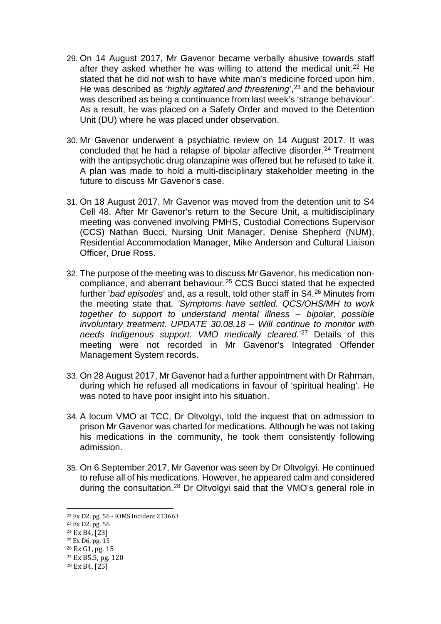- 29. On 14 August 2017, Mr Gavenor became verbally abusive towards staff after they asked whether he was willing to attend the medical unit.<sup>[22](#page-7-0)</sup> He stated that he did not wish to have white man's medicine forced upon him. He was described as '*highly agitated and threatening*', [23](#page-7-1) and the behaviour was described as being a continuance from last week's 'strange behaviour'. As a result, he was placed on a Safety Order and moved to the Detention Unit (DU) where he was placed under observation.
- 30. Mr Gavenor underwent a psychiatric review on 14 August 2017. It was concluded that he had a relapse of bipolar affective disorder.<sup>[24](#page-7-2)</sup> Treatment with the antipsychotic drug olanzapine was offered but he refused to take it. A plan was made to hold a multi-disciplinary stakeholder meeting in the future to discuss Mr Gavenor's case.
- 31. On 18 August 2017, Mr Gavenor was moved from the detention unit to S4 Cell 48. After Mr Gavenor's return to the Secure Unit, a multidisciplinary meeting was convened involving PMHS, Custodial Corrections Supervisor (CCS) Nathan Bucci, Nursing Unit Manager, Denise Shepherd (NUM), Residential Accommodation Manager, Mike Anderson and Cultural Liaison Officer, Drue Ross.
- 32. The purpose of the meeting was to discuss Mr Gavenor, his medication noncompliance, and aberrant behaviour.[25](#page-7-3) CCS Bucci stated that he expected further '*bad episodes*' and, as a result, told other staff in S4[.26](#page-7-4) Minutes from the meeting state that, *'Symptoms have settled. QCS/OHS/MH to work together to support to understand mental illness – bipolar, possible involuntary treatment. UPDATE 30.08.18 – Will continue to monitor with needs Indigenous support. VMO medically cleared.*' [27](#page-7-5) Details of this meeting were not recorded in Mr Gavenor's Integrated Offender Management System records.
- 33. On 28 August 2017, Mr Gavenor had a further appointment with Dr Rahman, during which he refused all medications in favour of 'spiritual healing'. He was noted to have poor insight into his situation.
- 34. A locum VMO at TCC, Dr Oltvolgyi, told the inquest that on admission to prison Mr Gavenor was charted for medications. Although he was not taking his medications in the community, he took them consistently following admission.
- 35. On 6 September 2017, Mr Gavenor was seen by Dr Oltvolgyi. He continued to refuse all of his medications. However, he appeared calm and considered during the consultation.[28](#page-7-6) Dr Oltvolgyi said that the VMO's general role in

<sup>&</sup>lt;sup>22</sup> Ex D2, pg. 56 - IOMS Incident 213663<br><sup>23</sup> Ex D2, pg. 56 l

<span id="page-7-1"></span><span id="page-7-0"></span>

<span id="page-7-2"></span><sup>24</sup> Ex B4, [23]

<span id="page-7-3"></span><sup>25</sup> Ex D6, pg. 15

<span id="page-7-4"></span><sup>26</sup> Ex G1, pg. 15

<span id="page-7-5"></span><sup>27</sup> Ex B5.5, pg. 120

<span id="page-7-6"></span><sup>28</sup> Ex B4, [25]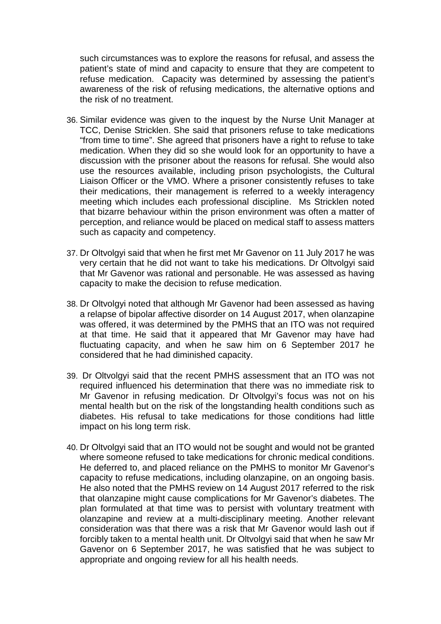such circumstances was to explore the reasons for refusal, and assess the patient's state of mind and capacity to ensure that they are competent to refuse medication. Capacity was determined by assessing the patient's awareness of the risk of refusing medications, the alternative options and the risk of no treatment.

- 36. Similar evidence was given to the inquest by the Nurse Unit Manager at TCC, Denise Stricklen. She said that prisoners refuse to take medications "from time to time". She agreed that prisoners have a right to refuse to take medication. When they did so she would look for an opportunity to have a discussion with the prisoner about the reasons for refusal. She would also use the resources available, including prison psychologists, the Cultural Liaison Officer or the VMO. Where a prisoner consistently refuses to take their medications, their management is referred to a weekly interagency meeting which includes each professional discipline. Ms Stricklen noted that bizarre behaviour within the prison environment was often a matter of perception, and reliance would be placed on medical staff to assess matters such as capacity and competency.
- 37. Dr Oltvolgyi said that when he first met Mr Gavenor on 11 July 2017 he was very certain that he did not want to take his medications. Dr Oltvolgyi said that Mr Gavenor was rational and personable. He was assessed as having capacity to make the decision to refuse medication.
- 38. Dr Oltvolgyi noted that although Mr Gavenor had been assessed as having a relapse of bipolar affective disorder on 14 August 2017, when olanzapine was offered, it was determined by the PMHS that an ITO was not required at that time. He said that it appeared that Mr Gavenor may have had fluctuating capacity, and when he saw him on 6 September 2017 he considered that he had diminished capacity.
- 39. Dr Oltvolgyi said that the recent PMHS assessment that an ITO was not required influenced his determination that there was no immediate risk to Mr Gavenor in refusing medication. Dr Oltvolgyi's focus was not on his mental health but on the risk of the longstanding health conditions such as diabetes. His refusal to take medications for those conditions had little impact on his long term risk.
- 40. Dr Oltvolgyi said that an ITO would not be sought and would not be granted where someone refused to take medications for chronic medical conditions. He deferred to, and placed reliance on the PMHS to monitor Mr Gavenor's capacity to refuse medications, including olanzapine, on an ongoing basis. He also noted that the PMHS review on 14 August 2017 referred to the risk that olanzapine might cause complications for Mr Gavenor's diabetes. The plan formulated at that time was to persist with voluntary treatment with olanzapine and review at a multi-disciplinary meeting. Another relevant consideration was that there was a risk that Mr Gavenor would lash out if forcibly taken to a mental health unit. Dr Oltvolgyi said that when he saw Mr Gavenor on 6 September 2017, he was satisfied that he was subject to appropriate and ongoing review for all his health needs.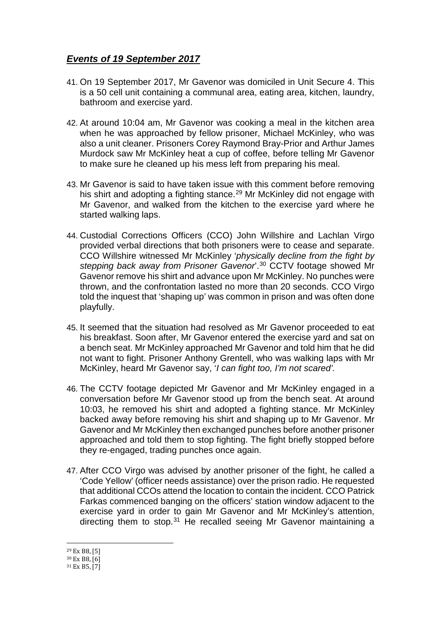#### <span id="page-9-0"></span>*Events of 19 September 2017*

- 41. On 19 September 2017, Mr Gavenor was domiciled in Unit Secure 4. This is a 50 cell unit containing a communal area, eating area, kitchen, laundry, bathroom and exercise yard.
- 42. At around 10:04 am, Mr Gavenor was cooking a meal in the kitchen area when he was approached by fellow prisoner, Michael McKinley, who was also a unit cleaner. Prisoners Corey Raymond Bray-Prior and Arthur James Murdock saw Mr McKinley heat a cup of coffee, before telling Mr Gavenor to make sure he cleaned up his mess left from preparing his meal.
- 43. Mr Gavenor is said to have taken issue with this comment before removing his shirt and adopting a fighting stance.<sup>[29](#page-9-1)</sup> Mr McKinley did not engage with Mr Gavenor, and walked from the kitchen to the exercise yard where he started walking laps.
- 44. Custodial Corrections Officers (CCO) John Willshire and Lachlan Virgo provided verbal directions that both prisoners were to cease and separate. CCO Willshire witnessed Mr McKinley '*physically decline from the fight by stepping back away from Prisoner Gavenor*'.[30](#page-9-2) CCTV footage showed Mr Gavenor remove his shirt and advance upon Mr McKinley. No punches were thrown, and the confrontation lasted no more than 20 seconds. CCO Virgo told the inquest that 'shaping up' was common in prison and was often done playfully.
- 45. It seemed that the situation had resolved as Mr Gavenor proceeded to eat his breakfast. Soon after, Mr Gavenor entered the exercise yard and sat on a bench seat. Mr McKinley approached Mr Gavenor and told him that he did not want to fight. Prisoner Anthony Grentell, who was walking laps with Mr McKinley, heard Mr Gavenor say, '*I can fight too, I'm not scared'.*
- 46. The CCTV footage depicted Mr Gavenor and Mr McKinley engaged in a conversation before Mr Gavenor stood up from the bench seat. At around 10:03, he removed his shirt and adopted a fighting stance. Mr McKinley backed away before removing his shirt and shaping up to Mr Gavenor. Mr Gavenor and Mr McKinley then exchanged punches before another prisoner approached and told them to stop fighting. The fight briefly stopped before they re-engaged, trading punches once again.
- 47. After CCO Virgo was advised by another prisoner of the fight, he called a 'Code Yellow' (officer needs assistance) over the prison radio. He requested that additional CCOs attend the location to contain the incident. CCO Patrick Farkas commenced banging on the officers' station window adjacent to the exercise yard in order to gain Mr Gavenor and Mr McKinley's attention, directing them to stop.<sup>[31](#page-9-3)</sup> He recalled seeing Mr Gavenor maintaining a

<sup>&</sup>lt;sup>29</sup> Ex B8, [5] l

<span id="page-9-2"></span><span id="page-9-1"></span><sup>30</sup> Ex B8, [6]

<span id="page-9-3"></span><sup>31</sup> Ex B5, [7]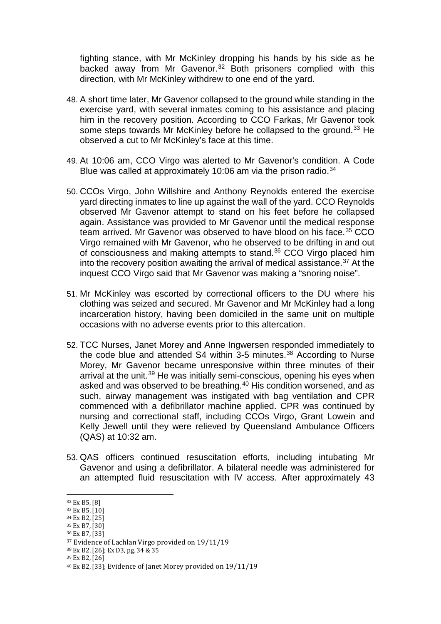fighting stance, with Mr McKinley dropping his hands by his side as he backed away from Mr Gavenor.<sup>[32](#page-10-0)</sup> Both prisoners complied with this direction, with Mr McKinley withdrew to one end of the yard.

- 48. A short time later, Mr Gavenor collapsed to the ground while standing in the exercise yard, with several inmates coming to his assistance and placing him in the recovery position. According to CCO Farkas, Mr Gavenor took some steps towards Mr McKinley before he collapsed to the ground.<sup>[33](#page-10-1)</sup> He observed a cut to Mr McKinley's face at this time.
- 49. At 10:06 am, CCO Virgo was alerted to Mr Gavenor's condition. A Code Blue was called at approximately 10:06 am via the prison radio.<sup>[34](#page-10-2)</sup>
- 50. CCOs Virgo, John Willshire and Anthony Reynolds entered the exercise yard directing inmates to line up against the wall of the yard. CCO Reynolds observed Mr Gavenor attempt to stand on his feet before he collapsed again. Assistance was provided to Mr Gavenor until the medical response team arrived. Mr Gavenor was observed to have blood on his face.<sup>[35](#page-10-3)</sup> CCO Virgo remained with Mr Gavenor, who he observed to be drifting in and out of consciousness and making attempts to stand.[36](#page-10-4) CCO Virgo placed him into the recovery position awaiting the arrival of medical assistance.<sup>[37](#page-10-5)</sup> At the inquest CCO Virgo said that Mr Gavenor was making a "snoring noise".
- 51. Mr McKinley was escorted by correctional officers to the DU where his clothing was seized and secured. Mr Gavenor and Mr McKinley had a long incarceration history, having been domiciled in the same unit on multiple occasions with no adverse events prior to this altercation.
- 52. TCC Nurses, Janet Morey and Anne Ingwersen responded immediately to the code blue and attended  $S4$  within 3-5 minutes.<sup>[38](#page-10-6)</sup> According to Nurse Morey, Mr Gavenor became unresponsive within three minutes of their arrival at the unit.<sup>[39](#page-10-7)</sup> He was initially semi-conscious, opening his eyes when asked and was observed to be breathing.[40](#page-10-8) His condition worsened, and as such, airway management was instigated with bag ventilation and CPR commenced with a defibrillator machine applied. CPR was continued by nursing and correctional staff, including CCOs Virgo, Grant Lowein and Kelly Jewell until they were relieved by Queensland Ambulance Officers (QAS) at 10:32 am.
- 53. QAS officers continued resuscitation efforts, including intubating Mr Gavenor and using a defibrillator. A bilateral needle was administered for an attempted fluid resuscitation with IV access. After approximately 43

- <span id="page-10-3"></span><sup>35</sup> Ex B7, [30]
- <span id="page-10-4"></span><sup>36</sup> Ex B7, [33]

<sup>32</sup> Ex B5, [8] l

<span id="page-10-1"></span><span id="page-10-0"></span><sup>33</sup> Ex B5, [10]

<span id="page-10-2"></span><sup>34</sup> Ex B2, [25]

<span id="page-10-5"></span><sup>37</sup> Evidence of Lachlan Virgo provided on 19/11/19

<span id="page-10-6"></span><sup>38</sup> Ex B2, [26]; Ex D3, pg. 34 & 35

<span id="page-10-7"></span><sup>39</sup> Ex B2, [26]

<span id="page-10-8"></span><sup>40</sup> Ex B2, [33]; Evidence of Janet Morey provided on 19/11/19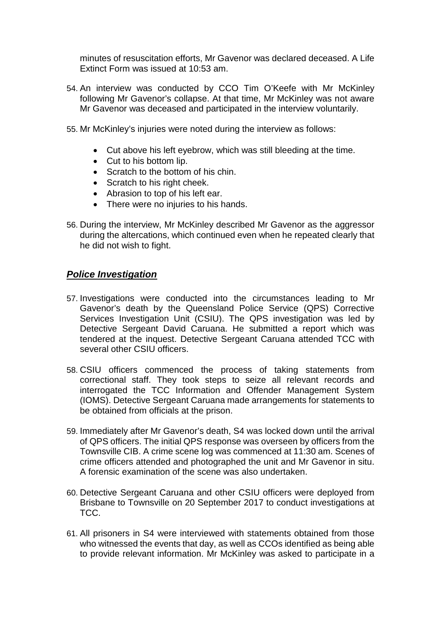minutes of resuscitation efforts, Mr Gavenor was declared deceased. A Life Extinct Form was issued at 10:53 am.

- 54. An interview was conducted by CCO Tim O'Keefe with Mr McKinley following Mr Gavenor's collapse. At that time, Mr McKinley was not aware Mr Gavenor was deceased and participated in the interview voluntarily.
- 55. Mr McKinley's injuries were noted during the interview as follows:
	- Cut above his left eyebrow, which was still bleeding at the time.
	- Cut to his bottom lip.
	- Scratch to the bottom of his chin.
	- Scratch to his right cheek.
	- Abrasion to top of his left ear.
	- There were no injuries to his hands.
- 56. During the interview, Mr McKinley described Mr Gavenor as the aggressor during the altercations, which continued even when he repeated clearly that he did not wish to fight.

#### <span id="page-11-0"></span>*Police Investigation*

- 57. Investigations were conducted into the circumstances leading to Mr Gavenor's death by the Queensland Police Service (QPS) Corrective Services Investigation Unit (CSIU). The QPS investigation was led by Detective Sergeant David Caruana. He submitted a report which was tendered at the inquest. Detective Sergeant Caruana attended TCC with several other CSIU officers.
- 58. CSIU officers commenced the process of taking statements from correctional staff. They took steps to seize all relevant records and interrogated the TCC Information and Offender Management System (IOMS). Detective Sergeant Caruana made arrangements for statements to be obtained from officials at the prison.
- 59. Immediately after Mr Gavenor's death, S4 was locked down until the arrival of QPS officers. The initial QPS response was overseen by officers from the Townsville CIB. A crime scene log was commenced at 11:30 am. Scenes of crime officers attended and photographed the unit and Mr Gavenor in situ. A forensic examination of the scene was also undertaken.
- 60. Detective Sergeant Caruana and other CSIU officers were deployed from Brisbane to Townsville on 20 September 2017 to conduct investigations at TCC.
- 61. All prisoners in S4 were interviewed with statements obtained from those who witnessed the events that day, as well as CCOs identified as being able to provide relevant information. Mr McKinley was asked to participate in a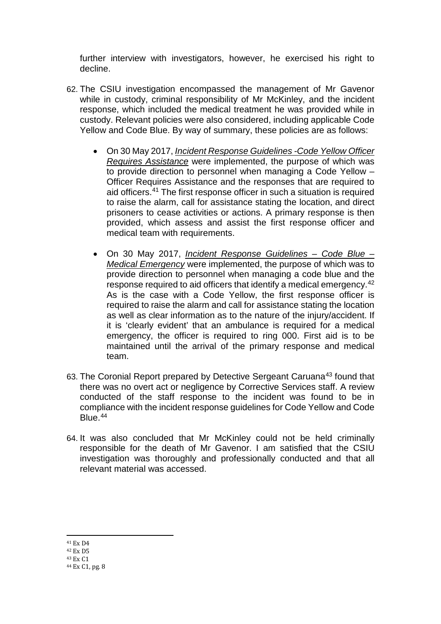further interview with investigators, however, he exercised his right to decline.

- 62. The CSIU investigation encompassed the management of Mr Gavenor while in custody, criminal responsibility of Mr McKinley, and the incident response, which included the medical treatment he was provided while in custody. Relevant policies were also considered, including applicable Code Yellow and Code Blue. By way of summary, these policies are as follows:
	- On 30 May 2017, *Incident Response Guidelines -Code Yellow Officer Requires Assistance* were implemented, the purpose of which was to provide direction to personnel when managing a Code Yellow – Officer Requires Assistance and the responses that are required to aid officers[.41](#page-12-1) The first response officer in such a situation is required to raise the alarm, call for assistance stating the location, and direct prisoners to cease activities or actions. A primary response is then provided, which assess and assist the first response officer and medical team with requirements.
	- On 30 May 2017, *Incident Response Guidelines – Code Blue – Medical Emergency* were implemented, the purpose of which was to provide direction to personnel when managing a code blue and the response required to aid officers that identify a medical emergency.[42](#page-12-2) As is the case with a Code Yellow, the first response officer is required to raise the alarm and call for assistance stating the location as well as clear information as to the nature of the injury/accident. If it is 'clearly evident' that an ambulance is required for a medical emergency, the officer is required to ring 000. First aid is to be maintained until the arrival of the primary response and medical team.
- 63. The Coronial Report prepared by Detective Sergeant Caruana<sup>43</sup> found that there was no overt act or negligence by Corrective Services staff. A review conducted of the staff response to the incident was found to be in compliance with the incident response guidelines for Code Yellow and Code Blue.<sup>[44](#page-12-4)</sup>
- 64. It was also concluded that Mr McKinley could not be held criminally responsible for the death of Mr Gavenor. I am satisfied that the CSIU investigation was thoroughly and professionally conducted and that all relevant material was accessed.

<span id="page-12-0"></span><sup>41</sup> Ex D4 j

<span id="page-12-2"></span><span id="page-12-1"></span><sup>42</sup> Ex D5

<span id="page-12-3"></span><sup>43</sup> Ex C1

<span id="page-12-4"></span><sup>44</sup> Ex C1, pg. 8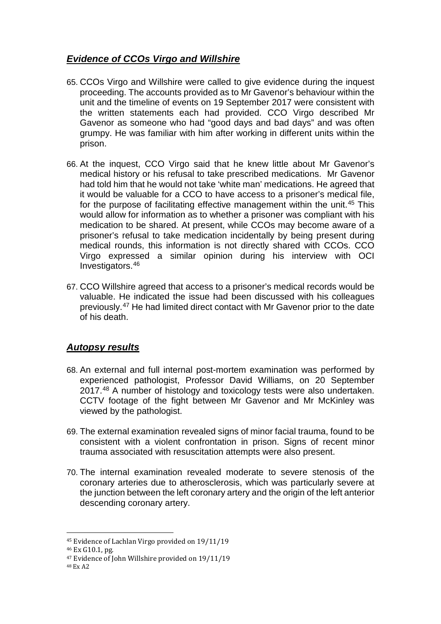#### *Evidence of CCOs Virgo and Willshire*

- 65. CCOs Virgo and Willshire were called to give evidence during the inquest proceeding. The accounts provided as to Mr Gavenor's behaviour within the unit and the timeline of events on 19 September 2017 were consistent with the written statements each had provided. CCO Virgo described Mr Gavenor as someone who had "good days and bad days" and was often grumpy. He was familiar with him after working in different units within the prison.
- 66. At the inquest, CCO Virgo said that he knew little about Mr Gavenor's medical history or his refusal to take prescribed medications. Mr Gavenor had told him that he would not take 'white man' medications. He agreed that it would be valuable for a CCO to have access to a prisoner's medical file, for the purpose of facilitating effective management within the unit.<sup>[45](#page-13-1)</sup> This would allow for information as to whether a prisoner was compliant with his medication to be shared. At present, while CCOs may become aware of a prisoner's refusal to take medication incidentally by being present during medical rounds, this information is not directly shared with CCOs. CCO Virgo expressed a similar opinion during his interview with OCI Investigators.[46](#page-13-2)
- 67. CCO Willshire agreed that access to a prisoner's medical records would be valuable. He indicated the issue had been discussed with his colleagues previously.[47](#page-13-3) He had limited direct contact with Mr Gavenor prior to the date of his death.

#### <span id="page-13-0"></span>*Autopsy results*

- 68. An external and full internal post-mortem examination was performed by experienced pathologist, Professor David Williams, on 20 September 2017.<sup>[48](#page-13-4)</sup> A number of histology and toxicology tests were also undertaken. CCTV footage of the fight between Mr Gavenor and Mr McKinley was viewed by the pathologist.
- 69. The external examination revealed signs of minor facial trauma, found to be consistent with a violent confrontation in prison. Signs of recent minor trauma associated with resuscitation attempts were also present.
- 70. The internal examination revealed moderate to severe stenosis of the coronary arteries due to atherosclerosis, which was particularly severe at the junction between the left coronary artery and the origin of the left anterior descending coronary artery.

<span id="page-13-1"></span><sup>45</sup> Evidence of Lachlan Virgo provided on 19/11/19 I

<span id="page-13-3"></span><span id="page-13-2"></span> $46$  Ex G10.1, pg.<br> $47$  Evidence of John Willshire provided on 19/11/19

<span id="page-13-4"></span><sup>48</sup> Ex A2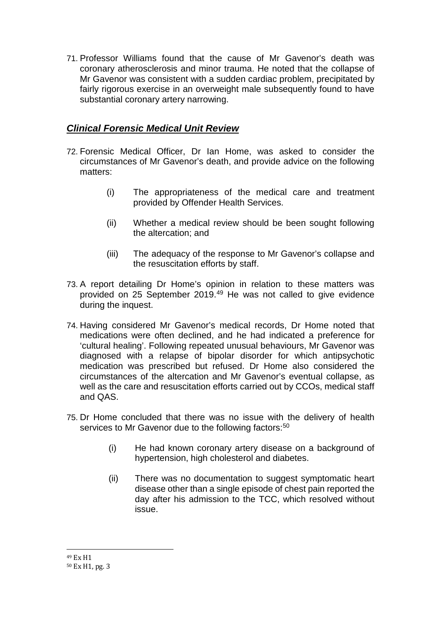71. Professor Williams found that the cause of Mr Gavenor's death was coronary atherosclerosis and minor trauma. He noted that the collapse of Mr Gavenor was consistent with a sudden cardiac problem, precipitated by fairly rigorous exercise in an overweight male subsequently found to have substantial coronary artery narrowing.

#### <span id="page-14-0"></span>*Clinical Forensic Medical Unit Review*

- 72. Forensic Medical Officer, Dr Ian Home, was asked to consider the circumstances of Mr Gavenor's death, and provide advice on the following matters:
	- (i) The appropriateness of the medical care and treatment provided by Offender Health Services.
	- (ii) Whether a medical review should be been sought following the altercation; and
	- (iii) The adequacy of the response to Mr Gavenor's collapse and the resuscitation efforts by staff.
- 73. A report detailing Dr Home's opinion in relation to these matters was provided on 25 September 2019.<sup>[49](#page-14-1)</sup> He was not called to give evidence during the inquest.
- 74. Having considered Mr Gavenor's medical records, Dr Home noted that medications were often declined, and he had indicated a preference for 'cultural healing'. Following repeated unusual behaviours, Mr Gavenor was diagnosed with a relapse of bipolar disorder for which antipsychotic medication was prescribed but refused. Dr Home also considered the circumstances of the altercation and Mr Gavenor's eventual collapse, as well as the care and resuscitation efforts carried out by CCOs, medical staff and QAS.
- 75. Dr Home concluded that there was no issue with the delivery of health services to Mr Gavenor due to the following factors:<sup>[50](#page-14-2)</sup>
	- (i) He had known coronary artery disease on a background of hypertension, high cholesterol and diabetes.
	- (ii) There was no documentation to suggest symptomatic heart disease other than a single episode of chest pain reported the day after his admission to the TCC, which resolved without issue.

<sup>&</sup>lt;sup>49</sup> Ex H<sub>1</sub> i<br>I

<span id="page-14-2"></span><span id="page-14-1"></span><sup>50</sup> Ex H1, pg. 3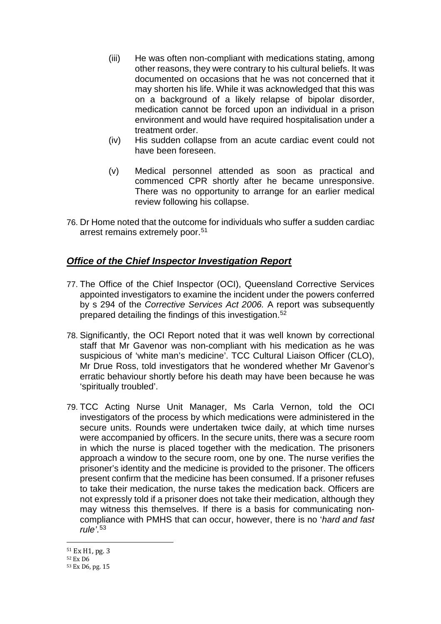- (iii) He was often non-compliant with medications stating, among other reasons, they were contrary to his cultural beliefs. It was documented on occasions that he was not concerned that it may shorten his life. While it was acknowledged that this was on a background of a likely relapse of bipolar disorder, medication cannot be forced upon an individual in a prison environment and would have required hospitalisation under a treatment order.
- (iv) His sudden collapse from an acute cardiac event could not have been foreseen.
- (v) Medical personnel attended as soon as practical and commenced CPR shortly after he became unresponsive. There was no opportunity to arrange for an earlier medical review following his collapse.
- 76. Dr Home noted that the outcome for individuals who suffer a sudden cardiac arrest remains extremely poor.<sup>[51](#page-15-1)</sup>

#### <span id="page-15-0"></span>*Office of the Chief Inspector Investigation Report*

- 77. The Office of the Chief Inspector (OCI), Queensland Corrective Services appointed investigators to examine the incident under the powers conferred by s 294 of the *Corrective Services Act 2006.* A report was subsequently prepared detailing the findings of this investigation.[52](#page-15-2)
- 78. Significantly, the OCI Report noted that it was well known by correctional staff that Mr Gavenor was non-compliant with his medication as he was suspicious of 'white man's medicine'. TCC Cultural Liaison Officer (CLO), Mr Drue Ross, told investigators that he wondered whether Mr Gavenor's erratic behaviour shortly before his death may have been because he was 'spiritually troubled'.
- 79. TCC Acting Nurse Unit Manager, Ms Carla Vernon, told the OCI investigators of the process by which medications were administered in the secure units. Rounds were undertaken twice daily, at which time nurses were accompanied by officers. In the secure units, there was a secure room in which the nurse is placed together with the medication. The prisoners approach a window to the secure room, one by one. The nurse verifies the prisoner's identity and the medicine is provided to the prisoner. The officers present confirm that the medicine has been consumed. If a prisoner refuses to take their medication, the nurse takes the medication back. Officers are not expressly told if a prisoner does not take their medication, although they may witness this themselves. If there is a basis for communicating noncompliance with PMHS that can occur, however, there is no '*hard and fast rule'*. [53](#page-15-3)

<sup>51</sup> Ex H1, pg. 3 i<br>I

<span id="page-15-2"></span><span id="page-15-1"></span><sup>52</sup> Ex D6

<span id="page-15-3"></span><sup>53</sup> Ex D6, pg. 15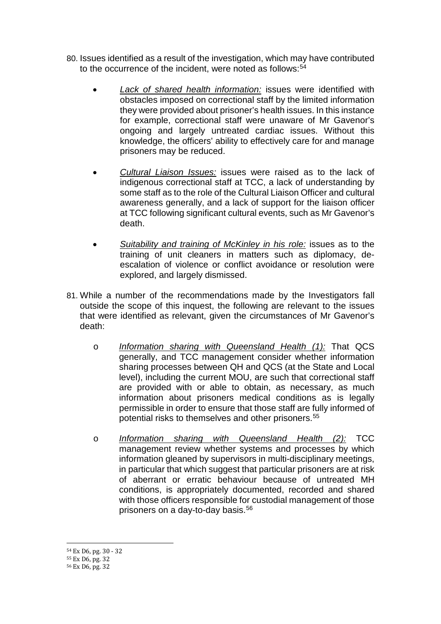- 80. Issues identified as a result of the investigation, which may have contributed to the occurrence of the incident, were noted as follows:<sup>[54](#page-16-0)</sup>
	- *Lack of shared health information:* issues were identified with obstacles imposed on correctional staff by the limited information they were provided about prisoner's health issues. In this instance for example, correctional staff were unaware of Mr Gavenor's ongoing and largely untreated cardiac issues. Without this knowledge, the officers' ability to effectively care for and manage prisoners may be reduced.
	- *Cultural Liaison Issues:* issues were raised as to the lack of indigenous correctional staff at TCC, a lack of understanding by some staff as to the role of the Cultural Liaison Officer and cultural awareness generally, and a lack of support for the liaison officer at TCC following significant cultural events, such as Mr Gavenor's death.
	- *Suitability and training of McKinley in his role:* issues as to the training of unit cleaners in matters such as diplomacy, deescalation of violence or conflict avoidance or resolution were explored, and largely dismissed.
- 81. While a number of the recommendations made by the Investigators fall outside the scope of this inquest, the following are relevant to the issues that were identified as relevant, given the circumstances of Mr Gavenor's death:
	- o *Information sharing with Queensland Health (1):* That QCS generally, and TCC management consider whether information sharing processes between QH and QCS (at the State and Local level), including the current MOU, are such that correctional staff are provided with or able to obtain, as necessary, as much information about prisoners medical conditions as is legally permissible in order to ensure that those staff are fully informed of potential risks to themselves and other prisoners.[55](#page-16-1)
	- o *Information sharing with Queensland Health (2):* TCC management review whether systems and processes by which information gleaned by supervisors in multi-disciplinary meetings, in particular that which suggest that particular prisoners are at risk of aberrant or erratic behaviour because of untreated MH conditions, is appropriately documented, recorded and shared with those officers responsible for custodial management of those prisoners on a day-to-day basis.[56](#page-16-2)

<sup>54</sup> Ex D6, pg. 30 - 32 l

<span id="page-16-1"></span><span id="page-16-0"></span><sup>55</sup> Ex D6, pg. 32

<span id="page-16-2"></span><sup>56</sup> Ex D6, pg. 32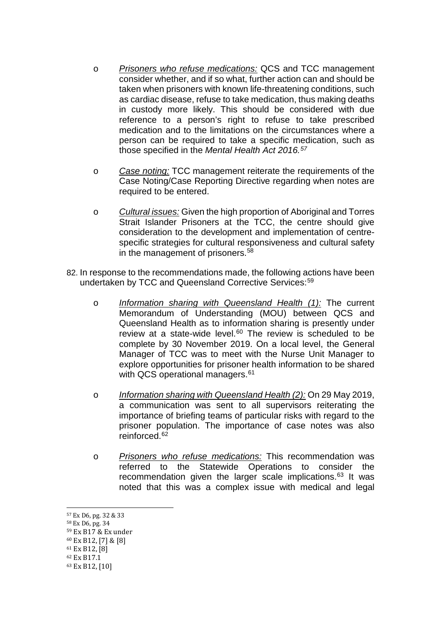- o *Prisoners who refuse medications:* QCS and TCC management consider whether, and if so what, further action can and should be taken when prisoners with known life-threatening conditions, such as cardiac disease, refuse to take medication, thus making deaths in custody more likely. This should be considered with due reference to a person's right to refuse to take prescribed medication and to the limitations on the circumstances where a person can be required to take a specific medication, such as those specified in the *Mental Health Act 2016.[57](#page-17-0)*
- o *Case noting:* TCC management reiterate the requirements of the Case Noting/Case Reporting Directive regarding when notes are required to be entered.
- o *Cultural issues:* Given the high proportion of Aboriginal and Torres Strait Islander Prisoners at the TCC, the centre should give consideration to the development and implementation of centrespecific strategies for cultural responsiveness and cultural safety in the management of prisoners.<sup>[58](#page-17-1)</sup>
- 82. In response to the recommendations made, the following actions have been undertaken by TCC and Queensland Corrective Services:<sup>[59](#page-17-2)</sup>
	- o *Information sharing with Queensland Health (1):* The current Memorandum of Understanding (MOU) between QCS and Queensland Health as to information sharing is presently under review at a state-wide level. $60$  The review is scheduled to be complete by 30 November 2019. On a local level, the General Manager of TCC was to meet with the Nurse Unit Manager to explore opportunities for prisoner health information to be shared with QCS operational managers.<sup>[61](#page-17-4)</sup>
	- o *Information sharing with Queensland Health (2):* On 29 May 2019, a communication was sent to all supervisors reiterating the importance of briefing teams of particular risks with regard to the prisoner population. The importance of case notes was also reinforced.[62](#page-17-5)
	- o *Prisoners who refuse medications:* This recommendation was referred to the Statewide Operations to consider the recommendation given the larger scale implications.[63](#page-17-6) It was noted that this was a complex issue with medical and legal

- <span id="page-17-1"></span><span id="page-17-0"></span><sup>58</sup> Ex D6, pg. 34
- <span id="page-17-2"></span><sup>59</sup> Ex B17 & Ex under
- <span id="page-17-3"></span><sup>60</sup> Ex B12, [7] & [8]
- <span id="page-17-4"></span><sup>61</sup> Ex B12, [8]
- <span id="page-17-5"></span><sup>62</sup> Ex B17.1

<sup>57</sup> Ex D6, pg. 32 & 33 l

<span id="page-17-6"></span><sup>63</sup> Ex B12, [10]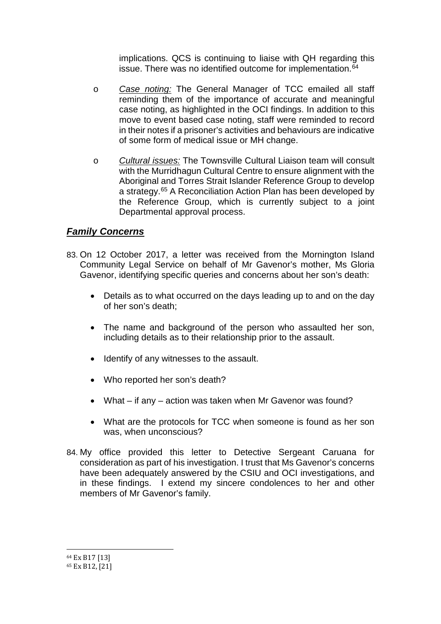implications. QCS is continuing to liaise with QH regarding this issue. There was no identified outcome for implementation.<sup>[64](#page-18-1)</sup>

- o *Case noting:* The General Manager of TCC emailed all staff reminding them of the importance of accurate and meaningful case noting, as highlighted in the OCI findings. In addition to this move to event based case noting, staff were reminded to record in their notes if a prisoner's activities and behaviours are indicative of some form of medical issue or MH change.
- o *Cultural issues:* The Townsville Cultural Liaison team will consult with the Murridhagun Cultural Centre to ensure alignment with the Aboriginal and Torres Strait Islander Reference Group to develop a strategy.<sup>[65](#page-18-2)</sup> A Reconciliation Action Plan has been developed by the Reference Group, which is currently subject to a joint Departmental approval process.

#### <span id="page-18-0"></span>*Family Concerns*

- 83. On 12 October 2017, a letter was received from the Mornington Island Community Legal Service on behalf of Mr Gavenor's mother, Ms Gloria Gavenor, identifying specific queries and concerns about her son's death:
	- Details as to what occurred on the days leading up to and on the day of her son's death;
	- The name and background of the person who assaulted her son, including details as to their relationship prior to the assault.
	- Identify of any witnesses to the assault.
	- Who reported her son's death?
	- What if any action was taken when Mr Gavenor was found?
	- What are the protocols for TCC when someone is found as her son was, when unconscious?
- 84. My office provided this letter to Detective Sergeant Caruana for consideration as part of his investigation. I trust that Ms Gavenor's concerns have been adequately answered by the CSIU and OCI investigations, and in these findings. I extend my sincere condolences to her and other members of Mr Gavenor's family.

<sup>64</sup> Ex B17 [13] i<br>I

<span id="page-18-2"></span><span id="page-18-1"></span><sup>65</sup> Ex B12, [21]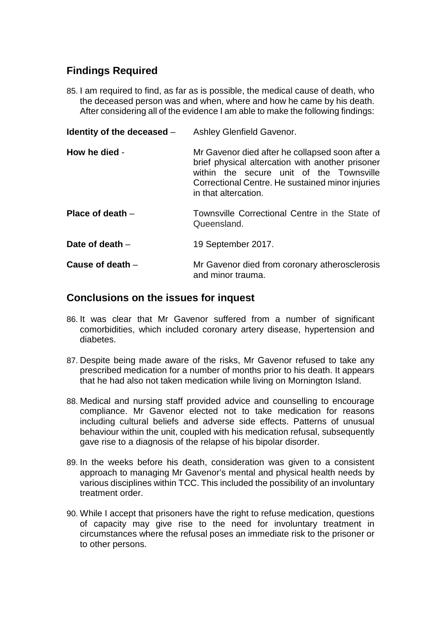### **Findings Required**

85. I am required to find, as far as is possible, the medical cause of death, who the deceased person was and when, where and how he came by his death. After considering all of the evidence I am able to make the following findings:

<span id="page-19-2"></span><span id="page-19-1"></span><span id="page-19-0"></span>

| Identity of the deceased $-$ | Ashley Glenfield Gavenor.                                                                                                                                                                                                   |
|------------------------------|-----------------------------------------------------------------------------------------------------------------------------------------------------------------------------------------------------------------------------|
| How he died -                | Mr Gavenor died after he collapsed soon after a<br>brief physical altercation with another prisoner<br>within the secure unit of the Townsville<br>Correctional Centre. He sustained minor injuries<br>in that altercation. |
| Place of death $-$           | Townsville Correctional Centre in the State of<br>Queensland.                                                                                                                                                               |
| Date of death $-$            | 19 September 2017.                                                                                                                                                                                                          |
| Cause of death $-$           | Mr Gavenor died from coronary atherosclerosis<br>and minor trauma.                                                                                                                                                          |

#### <span id="page-19-4"></span><span id="page-19-3"></span>**Conclusions on the issues for inquest**

- 86. It was clear that Mr Gavenor suffered from a number of significant comorbidities, which included coronary artery disease, hypertension and diabetes.
- 87. Despite being made aware of the risks, Mr Gavenor refused to take any prescribed medication for a number of months prior to his death. It appears that he had also not taken medication while living on Mornington Island.
- 88. Medical and nursing staff provided advice and counselling to encourage compliance. Mr Gavenor elected not to take medication for reasons including cultural beliefs and adverse side effects. Patterns of unusual behaviour within the unit, coupled with his medication refusal, subsequently gave rise to a diagnosis of the relapse of his bipolar disorder.
- 89. In the weeks before his death, consideration was given to a consistent approach to managing Mr Gavenor's mental and physical health needs by various disciplines within TCC. This included the possibility of an involuntary treatment order.
- 90. While I accept that prisoners have the right to refuse medication, questions of capacity may give rise to the need for involuntary treatment in circumstances where the refusal poses an immediate risk to the prisoner or to other persons.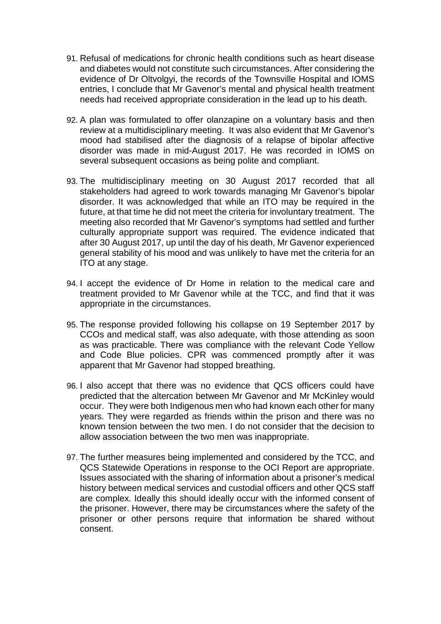- 91. Refusal of medications for chronic health conditions such as heart disease and diabetes would not constitute such circumstances. After considering the evidence of Dr Oltvolgyi, the records of the Townsville Hospital and IOMS entries, I conclude that Mr Gavenor's mental and physical health treatment needs had received appropriate consideration in the lead up to his death.
- 92. A plan was formulated to offer olanzapine on a voluntary basis and then review at a multidisciplinary meeting. It was also evident that Mr Gavenor's mood had stabilised after the diagnosis of a relapse of bipolar affective disorder was made in mid-August 2017. He was recorded in IOMS on several subsequent occasions as being polite and compliant.
- 93. The multidisciplinary meeting on 30 August 2017 recorded that all stakeholders had agreed to work towards managing Mr Gavenor's bipolar disorder. It was acknowledged that while an ITO may be required in the future, at that time he did not meet the criteria for involuntary treatment. The meeting also recorded that Mr Gavenor's symptoms had settled and further culturally appropriate support was required. The evidence indicated that after 30 August 2017, up until the day of his death, Mr Gavenor experienced general stability of his mood and was unlikely to have met the criteria for an ITO at any stage.
- 94. I accept the evidence of Dr Home in relation to the medical care and treatment provided to Mr Gavenor while at the TCC, and find that it was appropriate in the circumstances.
- 95. The response provided following his collapse on 19 September 2017 by CCOs and medical staff, was also adequate, with those attending as soon as was practicable. There was compliance with the relevant Code Yellow and Code Blue policies. CPR was commenced promptly after it was apparent that Mr Gavenor had stopped breathing.
- 96. I also accept that there was no evidence that QCS officers could have predicted that the altercation between Mr Gavenor and Mr McKinley would occur. They were both Indigenous men who had known each other for many years. They were regarded as friends within the prison and there was no known tension between the two men. I do not consider that the decision to allow association between the two men was inappropriate.
- 97. The further measures being implemented and considered by the TCC, and QCS Statewide Operations in response to the OCI Report are appropriate. Issues associated with the sharing of information about a prisoner's medical history between medical services and custodial officers and other QCS staff are complex. Ideally this should ideally occur with the informed consent of the prisoner. However, there may be circumstances where the safety of the prisoner or other persons require that information be shared without consent.